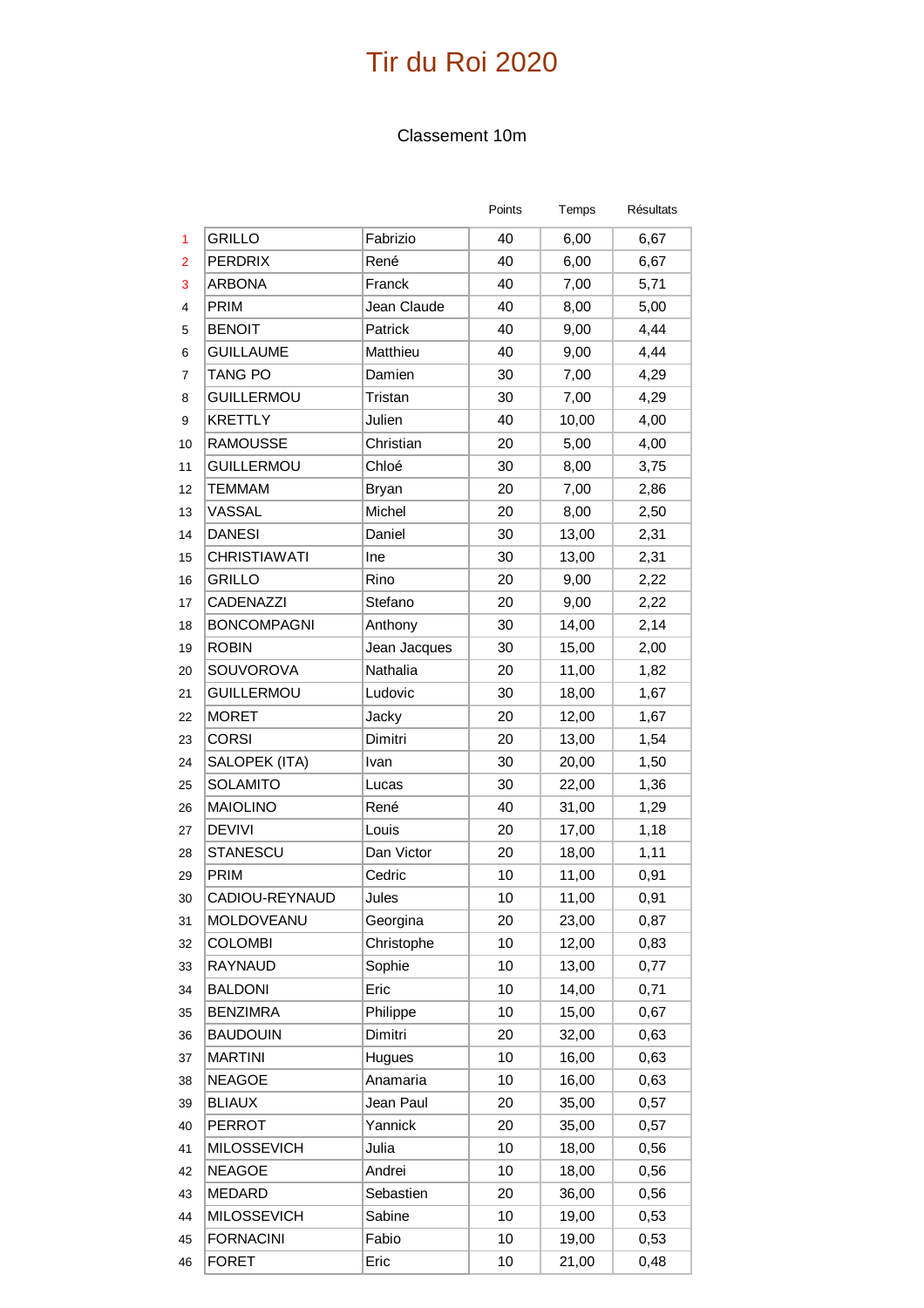#### Classement 10m

|                |                     |              | Points | Temps | Résultats |
|----------------|---------------------|--------------|--------|-------|-----------|
| 1              | <b>GRILLO</b>       | Fabrizio     | 40     | 6,00  | 6,67      |
| $\overline{2}$ | <b>PERDRIX</b>      | René         | 40     | 6,00  | 6,67      |
| 3              | <b>ARBONA</b>       | Franck       | 40     | 7,00  | 5,71      |
| 4              | PRIM                | Jean Claude  | 40     | 8,00  | 5,00      |
| 5              | <b>BENOIT</b>       | Patrick      | 40     | 9,00  | 4,44      |
| 6              | <b>GUILLAUME</b>    | Matthieu     | 40     | 9,00  | 4,44      |
| 7              | <b>TANG PO</b>      | Damien       | 30     | 7,00  | 4,29      |
| 8              | <b>GUILLERMOU</b>   | Tristan      | 30     | 7,00  | 4,29      |
| 9              | <b>KRETTLY</b>      | Julien       | 40     | 10,00 | 4,00      |
| 10             | <b>RAMOUSSE</b>     | Christian    | 20     | 5,00  | 4,00      |
| 11             | <b>GUILLERMOU</b>   | Chloé        | 30     | 8,00  | 3,75      |
| 12             | <b>TEMMAM</b>       | <b>Bryan</b> | 20     | 7,00  | 2,86      |
| 13             | VASSAL              | Michel       | 20     | 8,00  | 2,50      |
| 14             | <b>DANESI</b>       | Daniel       | 30     | 13,00 | 2,31      |
| 15             | <b>CHRISTIAWATI</b> | Ine          | 30     | 13,00 | 2,31      |
| 16             | <b>GRILLO</b>       | Rino         | 20     | 9,00  | 2,22      |
| 17             | CADENAZZI           | Stefano      | 20     | 9,00  | 2,22      |
| 18             | <b>BONCOMPAGNI</b>  | Anthony      | 30     | 14,00 | 2,14      |
| 19             | <b>ROBIN</b>        | Jean Jacques | 30     | 15,00 | 2,00      |
| 20             | SOUVOROVA           | Nathalia     | 20     | 11,00 | 1,82      |
| 21             | <b>GUILLERMOU</b>   | Ludovic      | 30     | 18,00 | 1,67      |
| 22             | <b>MORET</b>        | Jacky        | 20     | 12,00 | 1,67      |
| 23             | <b>CORSI</b>        | Dimitri      | 20     | 13,00 | 1,54      |
| 24             | SALOPEK (ITA)       | Ivan         | 30     | 20,00 | 1,50      |
| 25             | <b>SOLAMITO</b>     | Lucas        | 30     | 22,00 | 1,36      |
| 26             | <b>MAIOLINO</b>     | René         | 40     | 31,00 | 1,29      |
| 27             | <b>DEVIVI</b>       | Louis        | 20     | 17,00 | 1,18      |
| 28             | STANESCU            | Dan Victor   | 20     | 18,00 | 1,11      |
| 29             | PRIM                | Cedric       | 10     | 11,00 | 0,91      |
| 30             | CADIOU-REYNAUD      | Jules        | 10     | 11,00 | 0,91      |
| 31             | MOLDOVEANU          | Georgina     | 20     | 23,00 | 0,87      |
| 32             | <b>COLOMBI</b>      | Christophe   | 10     | 12,00 | 0,83      |
| 33             | RAYNAUD             | Sophie       | 10     | 13,00 | 0,77      |
| 34             | <b>BALDONI</b>      | Eric         | 10     | 14,00 | 0,71      |
| 35             | <b>BENZIMRA</b>     | Philippe     | 10     | 15,00 | 0,67      |
| 36             | <b>BAUDOUIN</b>     | Dimitri      | 20     | 32,00 | 0,63      |
| 37             | <b>MARTINI</b>      | Hugues       | 10     | 16,00 | 0,63      |
| 38             | <b>NEAGOE</b>       | Anamaria     | 10     | 16,00 | 0,63      |
| 39             | <b>BLIAUX</b>       | Jean Paul    | 20     | 35,00 | 0,57      |
| 40             | <b>PERROT</b>       | Yannick      | 20     | 35,00 | 0,57      |
| 41             | <b>MILOSSEVICH</b>  | Julia        | 10     | 18,00 | 0,56      |
| 42             | <b>NEAGOE</b>       | Andrei       | 10     | 18,00 | 0,56      |
| 43             | <b>MEDARD</b>       | Sebastien    | 20     | 36,00 | 0,56      |
| 44             | <b>MILOSSEVICH</b>  | Sabine       | 10     | 19,00 | 0,53      |
| 45             | <b>FORNACINI</b>    | Fabio        | 10     | 19,00 | 0,53      |
| 46             | <b>FORET</b>        | Eric         | 10     | 21,00 | 0,48      |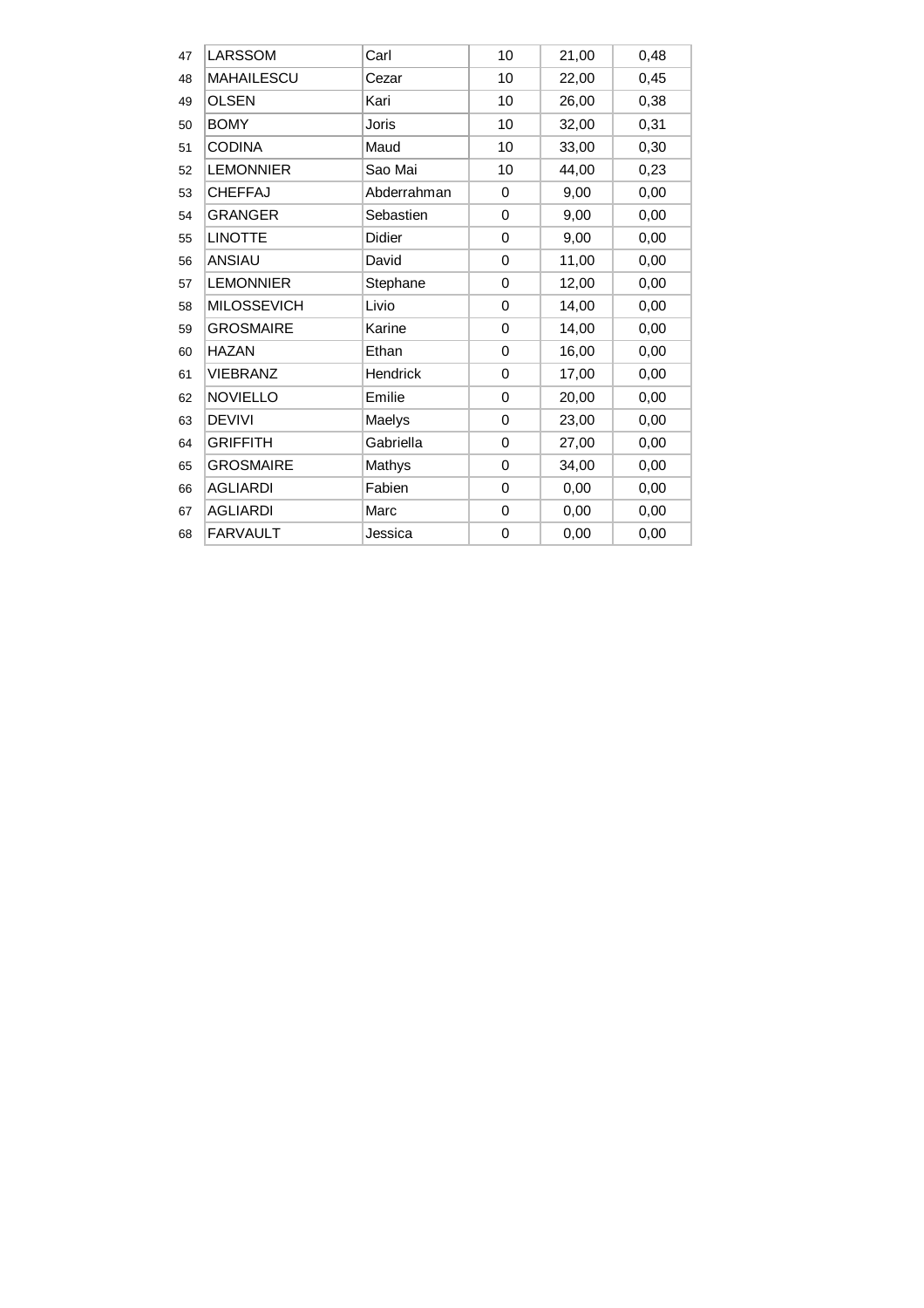| 47 | <b>LARSSOM</b>     | Carl          | 10          | 21,00 | 0,48 |
|----|--------------------|---------------|-------------|-------|------|
| 48 | <b>MAHAILESCU</b>  | Cezar         | 10          | 22,00 | 0,45 |
| 49 | <b>OLSEN</b>       | Kari          | 10          | 26,00 | 0,38 |
| 50 | <b>BOMY</b>        | Joris         | 10          | 32,00 | 0,31 |
| 51 | <b>CODINA</b>      | Maud          | 10          | 33,00 | 0,30 |
| 52 | <b>LEMONNIER</b>   | Sao Mai       | 10          | 44,00 | 0,23 |
| 53 | <b>CHEFFAJ</b>     | Abderrahman   | 0           | 9,00  | 0,00 |
| 54 | <b>GRANGER</b>     | Sebastien     | 0           | 9,00  | 0,00 |
| 55 | <b>LINOTTE</b>     | <b>Didier</b> | 0           | 9,00  | 0,00 |
| 56 | <b>ANSIAU</b>      | David         | 0           | 11,00 | 0,00 |
| 57 | <b>LEMONNIER</b>   | Stephane      | 0           | 12,00 | 0,00 |
| 58 | <b>MILOSSEVICH</b> | Livio         | 0           | 14,00 | 0,00 |
| 59 | <b>GROSMAIRE</b>   | Karine        | 0           | 14,00 | 0,00 |
| 60 | <b>HAZAN</b>       | Ethan         | 0           | 16,00 | 0,00 |
| 61 | <b>VIEBRANZ</b>    | Hendrick      | 0           | 17,00 | 0,00 |
| 62 | <b>NOVIELLO</b>    | Emilie        | $\mathbf 0$ | 20,00 | 0,00 |
| 63 | <b>DEVIVI</b>      | Maelys        | 0           | 23,00 | 0,00 |
| 64 | <b>GRIFFITH</b>    | Gabriella     | $\Omega$    | 27,00 | 0,00 |
| 65 | <b>GROSMAIRE</b>   | Mathys        | 0           | 34,00 | 0,00 |
| 66 | <b>AGLIARDI</b>    | Fabien        | 0           | 0,00  | 0,00 |
| 67 | <b>AGLIARDI</b>    | Marc          | 0           | 0,00  | 0,00 |
| 68 | <b>FARVAULT</b>    | Jessica       | 0           | 0,00  | 0,00 |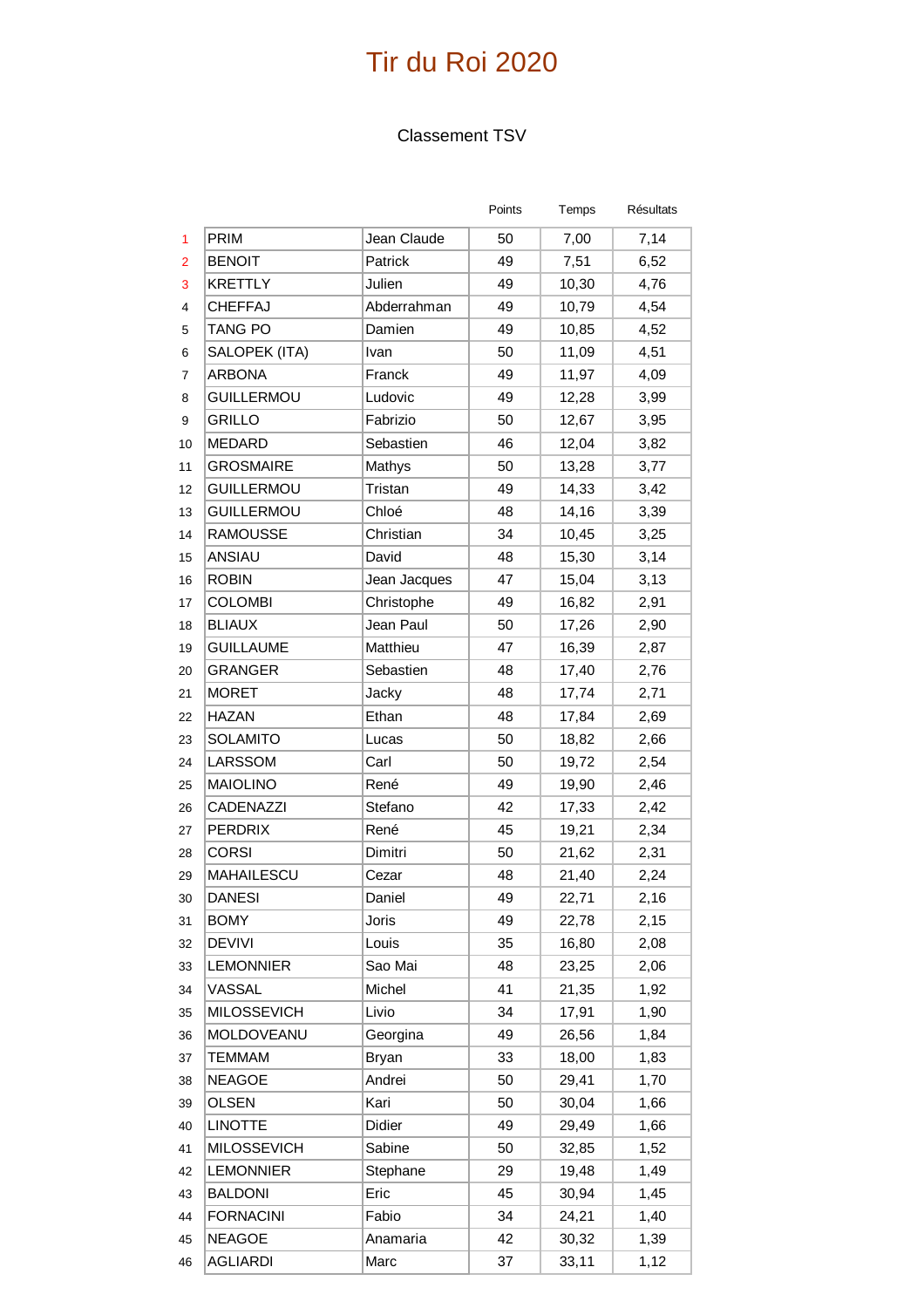### Classement TSV

|                |                    |              | Points | Temps | <b>Résultats</b> |
|----------------|--------------------|--------------|--------|-------|------------------|
| 1              | PRIM               | Jean Claude  | 50     | 7,00  | 7,14             |
| $\overline{2}$ | <b>BENOIT</b>      | Patrick      | 49     | 7,51  | 6,52             |
| 3              | <b>KRETTLY</b>     | Julien       | 49     | 10,30 | 4,76             |
| 4              | <b>CHEFFAJ</b>     | Abderrahman  | 49     | 10,79 | 4,54             |
| 5              | <b>TANG PO</b>     | Damien       | 49     | 10,85 | 4,52             |
| 6              | SALOPEK (ITA)      | Ivan         | 50     | 11,09 | 4,51             |
| 7              | <b>ARBONA</b>      | Franck       | 49     | 11,97 | 4,09             |
| 8              | <b>GUILLERMOU</b>  | Ludovic      | 49     | 12,28 | 3,99             |
| 9              | <b>GRILLO</b>      | Fabrizio     | 50     | 12,67 | 3,95             |
| 10             | <b>MEDARD</b>      | Sebastien    | 46     | 12,04 | 3,82             |
| 11             | <b>GROSMAIRE</b>   | Mathys       | 50     | 13,28 | 3,77             |
| 12             | <b>GUILLERMOU</b>  | Tristan      | 49     | 14,33 | 3,42             |
| 13             | <b>GUILLERMOU</b>  | Chloé        | 48     | 14,16 | 3,39             |
| 14             | <b>RAMOUSSE</b>    | Christian    | 34     | 10,45 | 3,25             |
| 15             | ANSIAU             | David        | 48     | 15,30 | 3,14             |
| 16             | <b>ROBIN</b>       | Jean Jacques | 47     | 15,04 | 3,13             |
| 17             | <b>COLOMBI</b>     | Christophe   | 49     | 16,82 | 2,91             |
| 18             | <b>BLIAUX</b>      | Jean Paul    | 50     | 17,26 | 2,90             |
| 19             | <b>GUILLAUME</b>   | Matthieu     | 47     | 16,39 | 2,87             |
| 20             | <b>GRANGER</b>     | Sebastien    | 48     | 17,40 | 2,76             |
| 21             | <b>MORET</b>       | Jacky        | 48     | 17,74 | 2,71             |
| 22             | <b>HAZAN</b>       | Ethan        | 48     | 17,84 | 2,69             |
| 23             | <b>SOLAMITO</b>    | Lucas        | 50     | 18,82 | 2,66             |
| 24             | LARSSOM            | Carl         | 50     | 19,72 | 2,54             |
| 25             | <b>MAIOLINO</b>    | René         | 49     | 19,90 | 2,46             |
| 26             | CADENAZZI          | Stefano      | 42     | 17,33 | 2,42             |
| 27             | <b>PERDRIX</b>     | René         | 45     | 19,21 | 2,34             |
| 28             | <b>CORSI</b>       | Dimitri      | 50     | 21,62 | 2,31             |
| 29             | <b>MAHAILESCU</b>  | Cezar        | 48     | 21,40 | 2,24             |
| 30             | <b>DANESI</b>      | Daniel       | 49     | 22,71 | 2,16             |
| 31             | <b>BOMY</b>        | Joris        | 49     | 22,78 | 2,15             |
| 32             | <b>DEVIVI</b>      | Louis        | 35     | 16,80 | 2,08             |
| 33             | <b>LEMONNIER</b>   | Sao Mai      | 48     | 23,25 | 2,06             |
| 34             | VASSAL             | Michel       | 41     | 21,35 | 1,92             |
| 35             | <b>MILOSSEVICH</b> | Livio        | 34     | 17,91 | 1,90             |
| 36             | MOLDOVEANU         | Georgina     | 49     | 26,56 | 1,84             |
| 37             | <b>TEMMAM</b>      | <b>Bryan</b> | 33     | 18,00 | 1,83             |
| 38             | <b>NEAGOE</b>      | Andrei       | 50     | 29,41 | 1,70             |
| 39             | OLSEN              | Kari         | 50     | 30,04 | 1,66             |
| 40             | <b>LINOTTE</b>     | Didier       | 49     | 29,49 | 1,66             |
| 41             | <b>MILOSSEVICH</b> | Sabine       | 50     | 32,85 | 1,52             |
| 42             | <b>LEMONNIER</b>   | Stephane     | 29     | 19,48 | 1,49             |
| 43             | <b>BALDONI</b>     | Eric         | 45     | 30,94 | 1,45             |
| 44             | <b>FORNACINI</b>   | Fabio        | 34     | 24,21 | 1,40             |
| 45             | <b>NEAGOE</b>      | Anamaria     | 42     | 30,32 | 1,39             |
| 46             | <b>AGLIARDI</b>    | Marc         | 37     | 33,11 | 1,12             |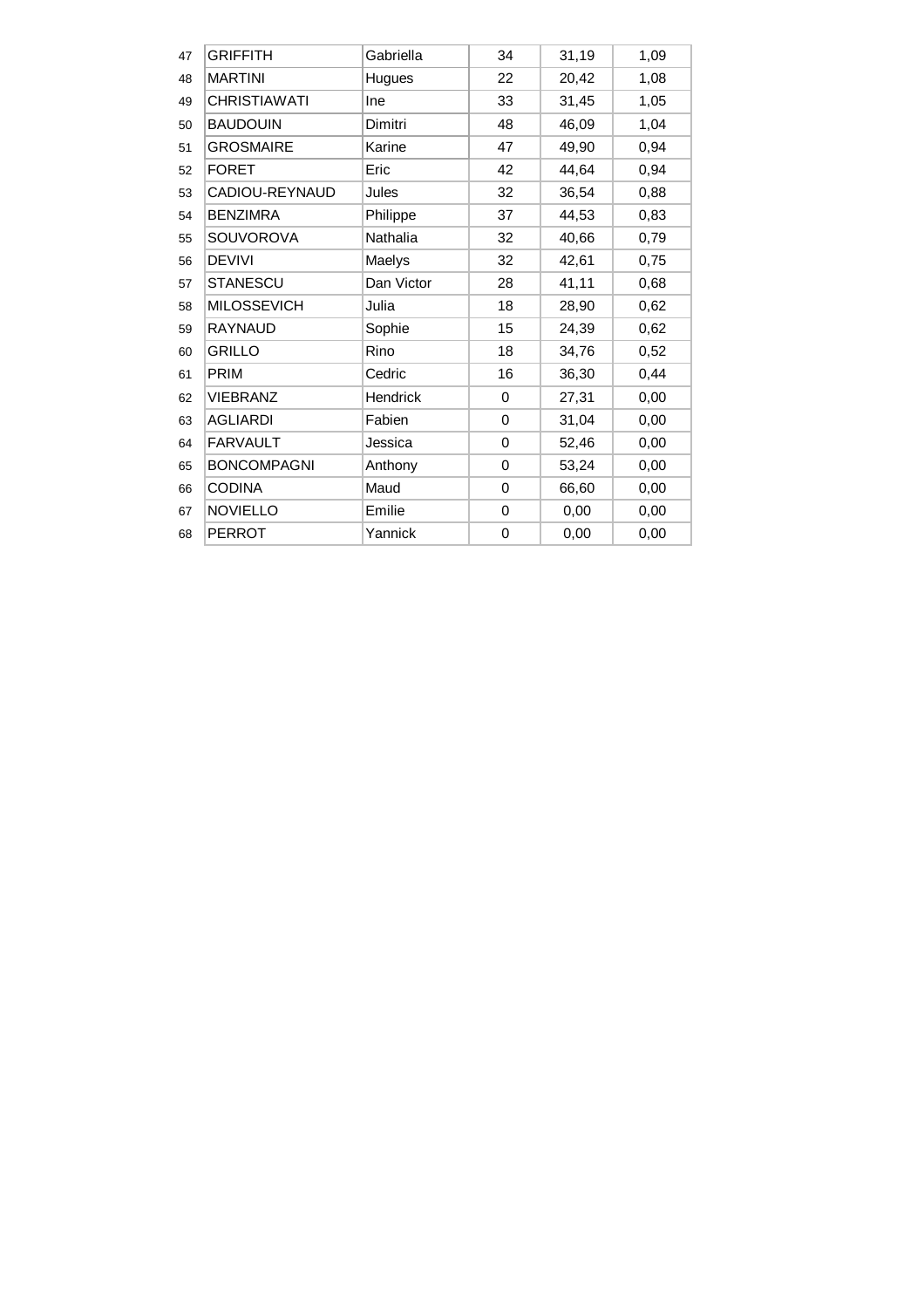| 47 | <b>GRIFFITH</b>     | Gabriella  | 34          | 31,19 | 1,09 |
|----|---------------------|------------|-------------|-------|------|
| 48 | <b>MARTINI</b>      | Hugues     | 22          | 20,42 | 1,08 |
| 49 | <b>CHRISTIAWATI</b> | <b>Ine</b> | 33          | 31,45 | 1,05 |
| 50 | <b>BAUDOUIN</b>     | Dimitri    | 48          | 46,09 | 1,04 |
| 51 | <b>GROSMAIRE</b>    | Karine     | 47          | 49,90 | 0,94 |
| 52 | <b>FORET</b>        | Eric       | 42          | 44,64 | 0,94 |
| 53 | CADIOU-REYNAUD      | Jules      | 32          | 36,54 | 0,88 |
| 54 | <b>BENZIMRA</b>     | Philippe   | 37          | 44,53 | 0,83 |
| 55 | <b>SOUVOROVA</b>    | Nathalia   | 32          | 40,66 | 0,79 |
| 56 | <b>DEVIVI</b>       | Maelys     | 32          | 42,61 | 0,75 |
| 57 | <b>STANESCU</b>     | Dan Victor | 28          | 41,11 | 0,68 |
| 58 | <b>MILOSSEVICH</b>  | Julia      | 18          | 28,90 | 0,62 |
| 59 | <b>RAYNAUD</b>      | Sophie     | 15          | 24,39 | 0,62 |
| 60 | <b>GRILLO</b>       | Rino       | 18          | 34,76 | 0,52 |
| 61 | <b>PRIM</b>         | Cedric     | 16          | 36,30 | 0,44 |
| 62 | <b>VIEBRANZ</b>     | Hendrick   | 0           | 27,31 | 0,00 |
| 63 | <b>AGLIARDI</b>     | Fabien     | $\mathbf 0$ | 31,04 | 0,00 |
| 64 | <b>FARVAULT</b>     | Jessica    | 0           | 52,46 | 0,00 |
| 65 | <b>BONCOMPAGNI</b>  | Anthony    | 0           | 53,24 | 0,00 |
| 66 | <b>CODINA</b>       | Maud       | 0           | 66,60 | 0,00 |
| 67 | <b>NOVIELLO</b>     | Emilie     | 0           | 0,00  | 0,00 |
| 68 | <b>PERROT</b>       | Yannick    | 0           | 0,00  | 0,00 |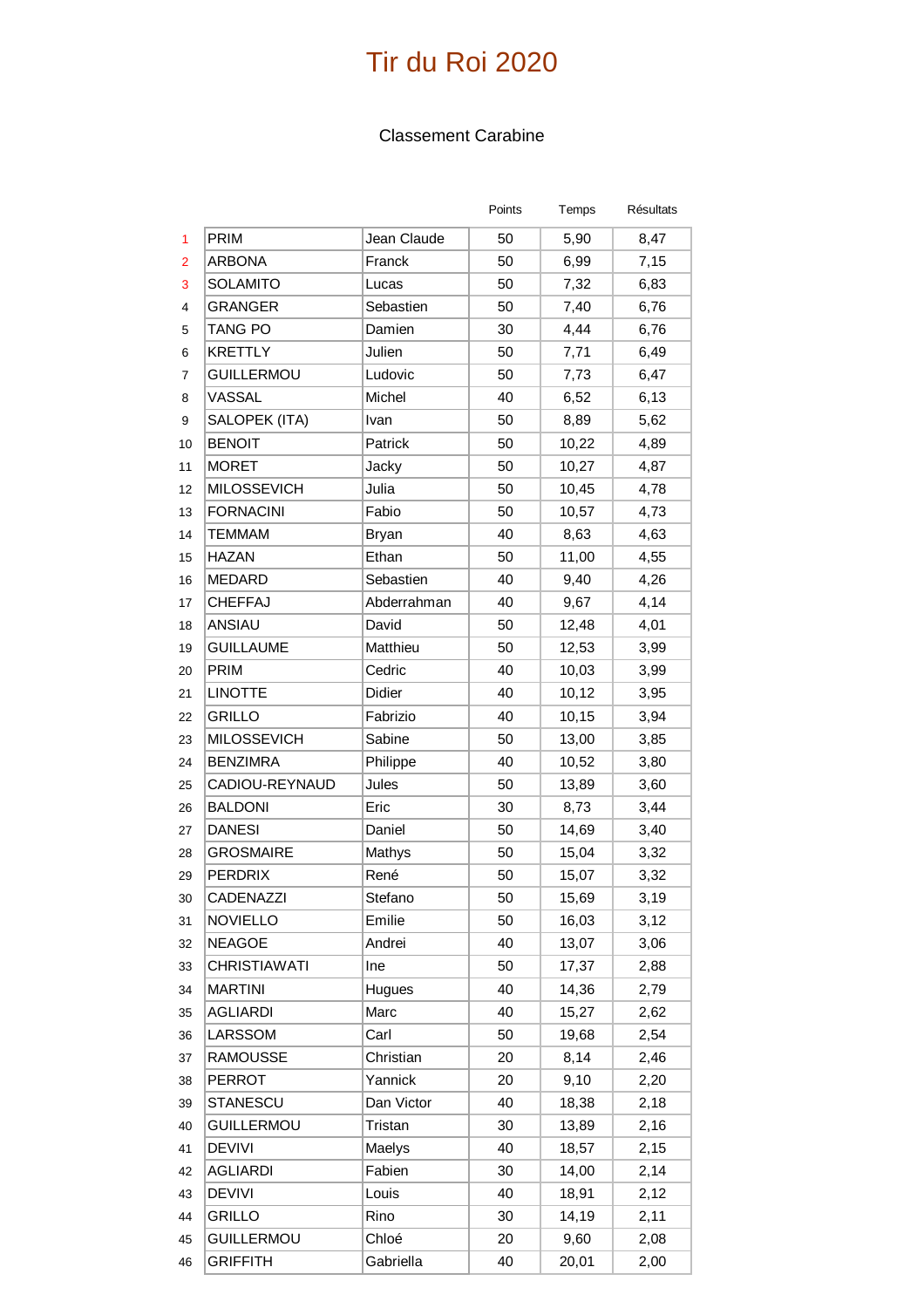#### Classement Carabine

|                |                     |              | Points | Temps | Résultats |
|----------------|---------------------|--------------|--------|-------|-----------|
| 1              | PRIM                | Jean Claude  | 50     | 5,90  | 8,47      |
| $\overline{2}$ | <b>ARBONA</b>       | Franck       | 50     | 6,99  | 7,15      |
| 3              | <b>SOLAMITO</b>     | Lucas        | 50     | 7,32  | 6,83      |
| $\overline{4}$ | <b>GRANGER</b>      | Sebastien    | 50     | 7,40  | 6,76      |
| 5              | TANG PO             | Damien       | 30     | 4,44  | 6,76      |
| 6              | <b>KRETTLY</b>      | Julien       | 50     | 7,71  | 6,49      |
| 7              | <b>GUILLERMOU</b>   | Ludovic      | 50     | 7,73  | 6,47      |
| 8              | VASSAL              | Michel       | 40     | 6,52  | 6,13      |
| 9              | SALOPEK (ITA)       | Ivan         | 50     | 8,89  | 5,62      |
| 10             | <b>BENOIT</b>       | Patrick      | 50     | 10,22 | 4,89      |
| 11             | <b>MORET</b>        | Jacky        | 50     | 10,27 | 4,87      |
| 12             | <b>MILOSSEVICH</b>  | Julia        | 50     | 10,45 | 4,78      |
| 13             | <b>FORNACINI</b>    | Fabio        | 50     | 10,57 | 4,73      |
| 14             | <b>TEMMAM</b>       | <b>Bryan</b> | 40     | 8,63  | 4,63      |
| 15             | <b>HAZAN</b>        | Ethan        | 50     | 11,00 | 4,55      |
| 16             | MEDARD              | Sebastien    | 40     | 9,40  | 4,26      |
| 17             | <b>CHEFFAJ</b>      | Abderrahman  | 40     | 9,67  | 4,14      |
| 18             | ANSIAU              | David        | 50     | 12,48 | 4,01      |
| 19             | <b>GUILLAUME</b>    | Matthieu     | 50     | 12,53 | 3,99      |
| 20             | <b>PRIM</b>         | Cedric       | 40     | 10,03 | 3,99      |
| 21             | <b>LINOTTE</b>      | Didier       | 40     | 10,12 | 3,95      |
| 22             | <b>GRILLO</b>       | Fabrizio     | 40     | 10,15 | 3,94      |
| 23             | <b>MILOSSEVICH</b>  | Sabine       | 50     | 13,00 | 3,85      |
| 24             | <b>BENZIMRA</b>     | Philippe     | 40     | 10,52 | 3,80      |
| 25             | CADIOU-REYNAUD      | Jules        | 50     | 13,89 | 3,60      |
| 26             | <b>BALDONI</b>      | Eric         | 30     | 8,73  | 3,44      |
| 27             | <b>DANESI</b>       | Daniel       | 50     | 14,69 | 3,40      |
| 28             | <b>GROSMAIRE</b>    | Mathys       | 50     | 15,04 | 3,32      |
| 29             | <b>PERDRIX</b>      | René         | 50     | 15,07 | 3,32      |
| 30             | <b>CADENAZZI</b>    | Stefano      | 50     | 15,69 | 3,19      |
| 31             | <b>NOVIELLO</b>     | Emilie       | 50     | 16,03 | 3,12      |
| 32             | <b>NEAGOE</b>       | Andrei       | 40     | 13,07 | 3,06      |
| 33             | <b>CHRISTIAWATI</b> | Ine          | 50     | 17,37 | 2,88      |
| 34             | <b>MARTINI</b>      | Hugues       | 40     | 14,36 | 2,79      |
| 35             | <b>AGLIARDI</b>     | Marc         | 40     | 15,27 | 2,62      |
| 36             | LARSSOM             | Carl         | 50     | 19,68 | 2,54      |
| 37             | <b>RAMOUSSE</b>     | Christian    | 20     | 8,14  | 2,46      |
| 38             | <b>PERROT</b>       | Yannick      | 20     | 9,10  | 2,20      |
| 39             | <b>STANESCU</b>     | Dan Victor   | 40     | 18,38 | 2,18      |
| 40             | <b>GUILLERMOU</b>   | Tristan      | 30     | 13,89 | 2,16      |
| 41             | <b>DEVIVI</b>       | Maelys       | 40     | 18,57 | 2,15      |
| 42             | <b>AGLIARDI</b>     | Fabien       | 30     | 14,00 | 2,14      |
| 43             | <b>DEVIVI</b>       | Louis        | 40     | 18,91 | 2,12      |
| 44             | <b>GRILLO</b>       | Rino         | 30     | 14,19 | 2,11      |
| 45             | <b>GUILLERMOU</b>   | Chloé        | 20     | 9,60  | 2,08      |
| 46             | <b>GRIFFITH</b>     | Gabriella    | 40     | 20,01 | 2,00      |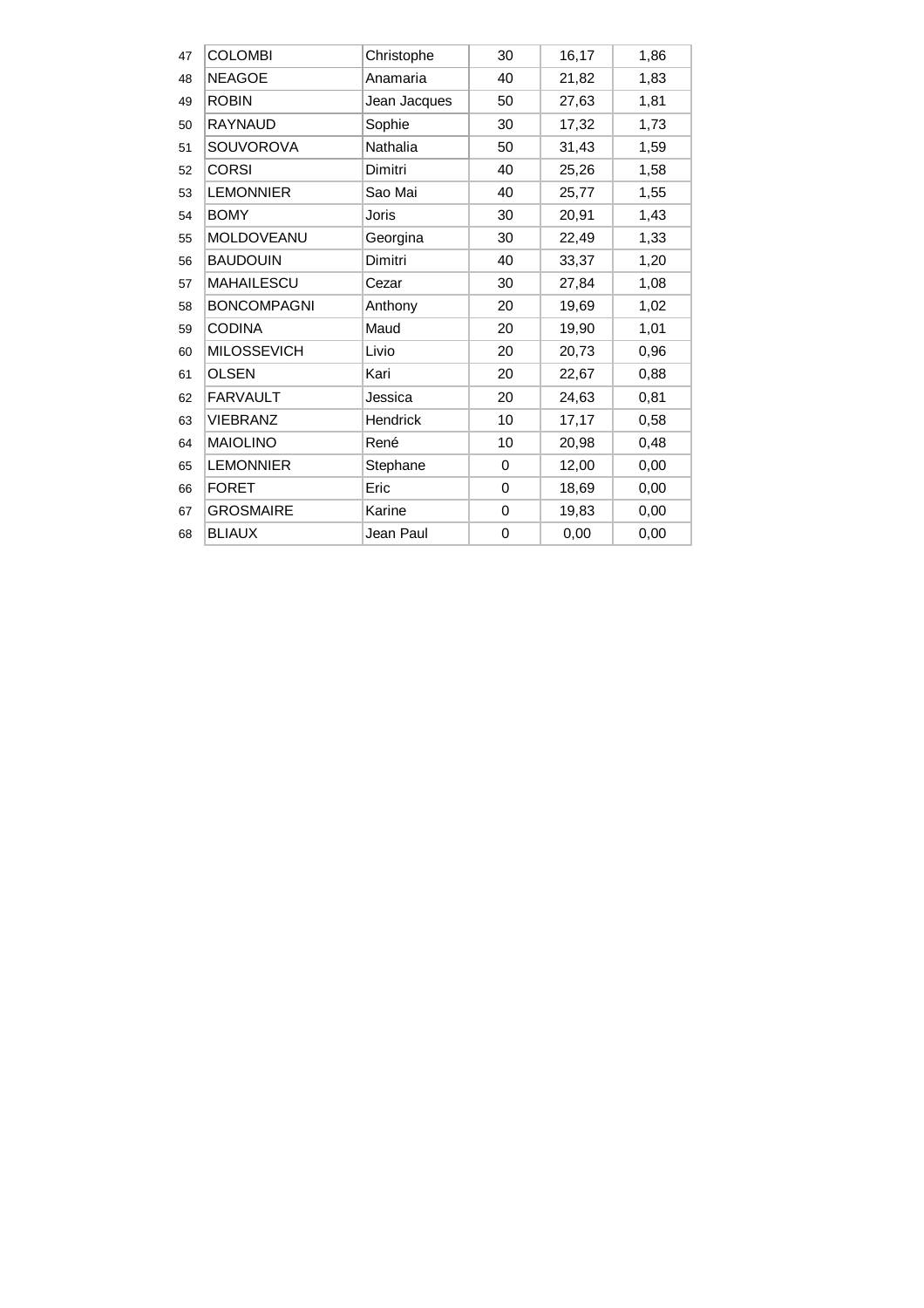| 47 | <b>COLOMBI</b>     | Christophe      | 30 | 16,17 | 1,86 |
|----|--------------------|-----------------|----|-------|------|
|    |                    |                 |    |       |      |
| 48 | <b>NEAGOE</b>      | Anamaria        | 40 | 21,82 | 1,83 |
| 49 | <b>ROBIN</b>       | Jean Jacques    | 50 | 27,63 | 1,81 |
| 50 | <b>RAYNAUD</b>     | Sophie          | 30 | 17,32 | 1,73 |
| 51 | <b>SOUVOROVA</b>   | Nathalia        | 50 | 31,43 | 1,59 |
| 52 | <b>CORSI</b>       | Dimitri         | 40 | 25,26 | 1,58 |
| 53 | <b>LEMONNIER</b>   | Sao Mai         | 40 | 25,77 | 1,55 |
| 54 | <b>BOMY</b>        | Joris           | 30 | 20,91 | 1,43 |
| 55 | MOLDOVEANU         | Georgina        | 30 | 22,49 | 1,33 |
| 56 | <b>BAUDOUIN</b>    | Dimitri         | 40 | 33,37 | 1,20 |
| 57 | <b>MAHAILESCU</b>  | Cezar           | 30 | 27,84 | 1,08 |
| 58 | <b>BONCOMPAGNI</b> | Anthony         | 20 | 19,69 | 1,02 |
| 59 | <b>CODINA</b>      | Maud            | 20 | 19,90 | 1,01 |
| 60 | <b>MILOSSEVICH</b> | Livio           | 20 | 20,73 | 0,96 |
| 61 | <b>OLSEN</b>       | Kari            | 20 | 22,67 | 0,88 |
| 62 | <b>FARVAULT</b>    | Jessica         | 20 | 24,63 | 0,81 |
| 63 | <b>VIEBRANZ</b>    | <b>Hendrick</b> | 10 | 17,17 | 0,58 |
| 64 | <b>MAIOLINO</b>    | René            | 10 | 20,98 | 0,48 |
| 65 | <b>LEMONNIER</b>   | Stephane        | 0  | 12,00 | 0,00 |
| 66 | <b>FORET</b>       | Eric            | 0  | 18,69 | 0,00 |
| 67 | <b>GROSMAIRE</b>   | Karine          | 0  | 19,83 | 0,00 |
| 68 | <b>BLIAUX</b>      | Jean Paul       | 0  | 0,00  | 0,00 |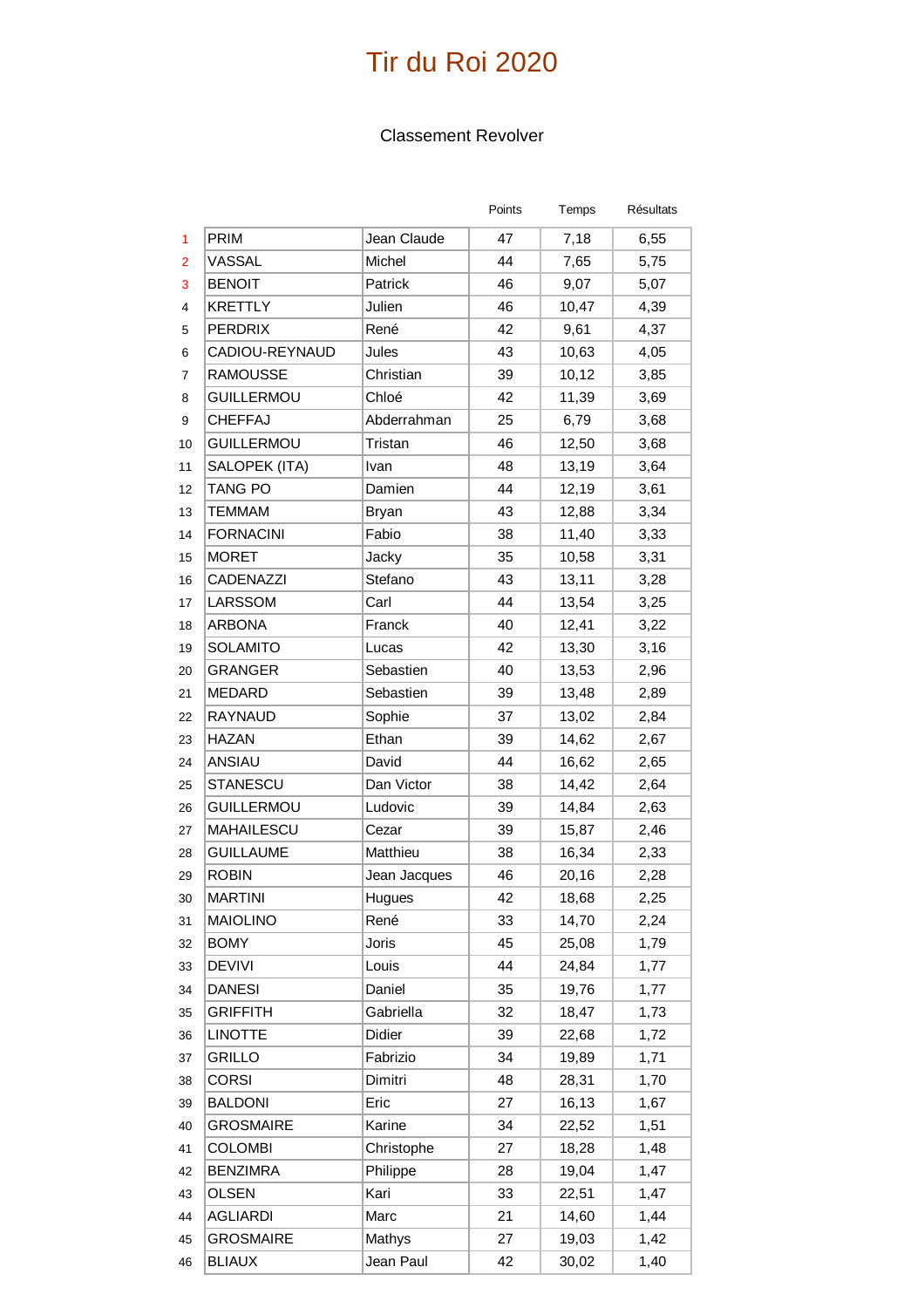#### Classement Revolver

|                |                   |              | Points | Temps | Résultats |
|----------------|-------------------|--------------|--------|-------|-----------|
| 1              | PRIM              | Jean Claude  | 47     | 7,18  | 6,55      |
| $\overline{2}$ | VASSAL            | Michel       | 44     | 7,65  | 5,75      |
| 3              | <b>BENOIT</b>     | Patrick      | 46     | 9,07  | 5,07      |
| $\overline{4}$ | <b>KRETTLY</b>    | Julien       | 46     | 10,47 | 4,39      |
| 5              | <b>PERDRIX</b>    | René         | 42     | 9,61  | 4,37      |
| 6              | CADIOU-REYNAUD    | Jules        | 43     | 10,63 | 4,05      |
| 7              | <b>RAMOUSSE</b>   | Christian    | 39     | 10,12 | 3,85      |
| 8              | <b>GUILLERMOU</b> | Chloé        | 42     | 11,39 | 3,69      |
| 9              | <b>CHEFFAJ</b>    | Abderrahman  | 25     | 6,79  | 3,68      |
| 10             | <b>GUILLERMOU</b> | Tristan      | 46     | 12,50 | 3,68      |
| 11             | SALOPEK (ITA)     | Ivan         | 48     | 13,19 | 3,64      |
| 12             | <b>TANG PO</b>    | Damien       | 44     | 12,19 | 3,61      |
| 13             | <b>TEMMAM</b>     | <b>Bryan</b> | 43     | 12,88 | 3,34      |
| 14             | <b>FORNACINI</b>  | Fabio        | 38     | 11,40 | 3,33      |
| 15             | <b>MORET</b>      | Jacky        | 35     | 10,58 | 3,31      |
| 16             | <b>CADENAZZI</b>  | Stefano      | 43     | 13,11 | 3,28      |
| 17             | LARSSOM           | Carl         | 44     | 13,54 | 3,25      |
| 18             | <b>ARBONA</b>     | Franck       | 40     | 12,41 | 3,22      |
| 19             | <b>SOLAMITO</b>   | Lucas        | 42     | 13,30 | 3,16      |
| 20             | <b>GRANGER</b>    | Sebastien    | 40     | 13,53 | 2,96      |
| 21             | <b>MEDARD</b>     | Sebastien    | 39     | 13,48 | 2,89      |
| 22             | RAYNAUD           | Sophie       | 37     | 13,02 | 2,84      |
| 23             | <b>HAZAN</b>      | Ethan        | 39     | 14,62 | 2,67      |
| 24             | ANSIAU            | David        | 44     | 16,62 | 2,65      |
| 25             | <b>STANESCU</b>   | Dan Victor   | 38     | 14,42 | 2,64      |
| 26             | <b>GUILLERMOU</b> | Ludovic      | 39     | 14,84 | 2,63      |
| 27             | <b>MAHAILESCU</b> | Cezar        | 39     | 15,87 | 2,46      |
| 28             | <b>GUILLAUME</b>  | Matthieu     | 38     | 16,34 | 2,33      |
| 29             | <b>ROBIN</b>      | Jean Jacques | 46     | 20,16 | 2,28      |
| 30             | <b>MARTINI</b>    | Hugues       | 42     | 18,68 | 2,25      |
| 31             | <b>MAIOLINO</b>   | René         | 33     | 14,70 | 2,24      |
| 32             | <b>BOMY</b>       | Joris        | 45     | 25,08 | 1,79      |
| 33             | <b>DEVIVI</b>     | Louis        | 44     | 24,84 | 1,77      |
| 34             | <b>DANESI</b>     | Daniel       | 35     | 19,76 | 1,77      |
| 35             | <b>GRIFFITH</b>   | Gabriella    | 32     | 18,47 | 1,73      |
| 36             | <b>LINOTTE</b>    | Didier       | 39     | 22,68 | 1,72      |
| 37             | <b>GRILLO</b>     | Fabrizio     | 34     | 19,89 | 1,71      |
| 38             | <b>CORSI</b>      | Dimitri      | 48     | 28,31 | 1,70      |
| 39             | <b>BALDONI</b>    | Eric         | 27     | 16,13 | 1,67      |
| 40             | <b>GROSMAIRE</b>  | Karine       | 34     | 22,52 | 1,51      |
| 41             | <b>COLOMBI</b>    | Christophe   | 27     | 18,28 | 1,48      |
| 42             | <b>BENZIMRA</b>   | Philippe     | 28     | 19,04 | 1,47      |
| 43             | <b>OLSEN</b>      | Kari         | 33     | 22,51 | 1,47      |
| 44             | <b>AGLIARDI</b>   | Marc         | 21     | 14,60 | 1,44      |
| 45             | <b>GROSMAIRE</b>  | Mathys       | 27     | 19,03 | 1,42      |
| 46             | <b>BLIAUX</b>     | Jean Paul    | 42     | 30,02 | 1,40      |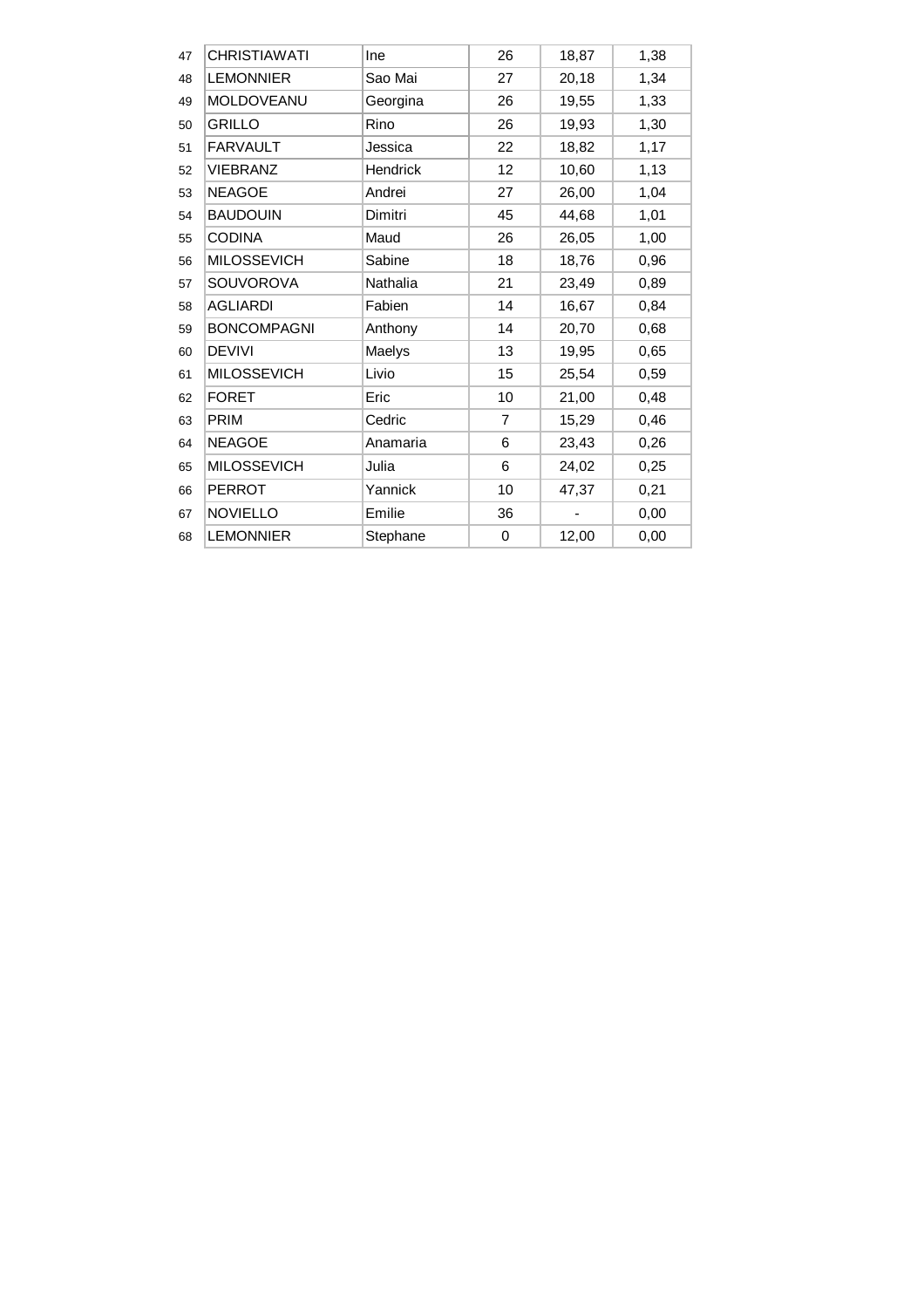| <b>CHRISTIAWATI</b> | Ine              | 26             | 18,87                    | 1,38 |
|---------------------|------------------|----------------|--------------------------|------|
|                     |                  |                |                          |      |
|                     | Sao Mai          | 27             | 20,18                    | 1,34 |
| MOLDOVEANU          | Georgina         | 26             | 19,55                    | 1,33 |
| <b>GRILLO</b>       | Rino             | 26             | 19,93                    | 1,30 |
| <b>FARVAULT</b>     | Jessica          | 22             | 18,82                    | 1,17 |
| <b>VIEBRANZ</b>     | Hendrick         | 12             | 10,60                    | 1,13 |
| <b>NEAGOE</b>       | Andrei           | 27             | 26,00                    | 1,04 |
| <b>BAUDOUIN</b>     | Dimitri          | 45             | 44,68                    | 1,01 |
| <b>CODINA</b>       | Maud             | 26             | 26,05                    | 1,00 |
| <b>MILOSSEVICH</b>  | Sabine           | 18             | 18,76                    | 0,96 |
| SOUVOROVA           | Nathalia         | 21             | 23,49                    | 0,89 |
| <b>AGLIARDI</b>     | Fabien           | 14             | 16,67                    | 0,84 |
| <b>BONCOMPAGNI</b>  | Anthony          | 14             | 20,70                    | 0,68 |
| <b>DEVIVI</b>       | Maelys           | 13             | 19,95                    | 0,65 |
| <b>MILOSSEVICH</b>  | Livio            | 15             | 25,54                    | 0,59 |
| <b>FORET</b>        | Eric             | 10             | 21,00                    | 0,48 |
| <b>PRIM</b>         | Cedric           | $\overline{7}$ | 15,29                    | 0,46 |
| <b>NEAGOE</b>       | Anamaria         | 6              | 23,43                    | 0,26 |
| <b>MILOSSEVICH</b>  | Julia            | 6              | 24,02                    | 0,25 |
| <b>PERROT</b>       | Yannick          | 10             | 47,37                    | 0,21 |
| <b>NOVIELLO</b>     | Emilie           | 36             | $\overline{\phantom{0}}$ | 0,00 |
| <b>LEMONNIER</b>    | Stephane         | 0              | 12,00                    | 0,00 |
|                     | <b>LEMONNIER</b> |                |                          |      |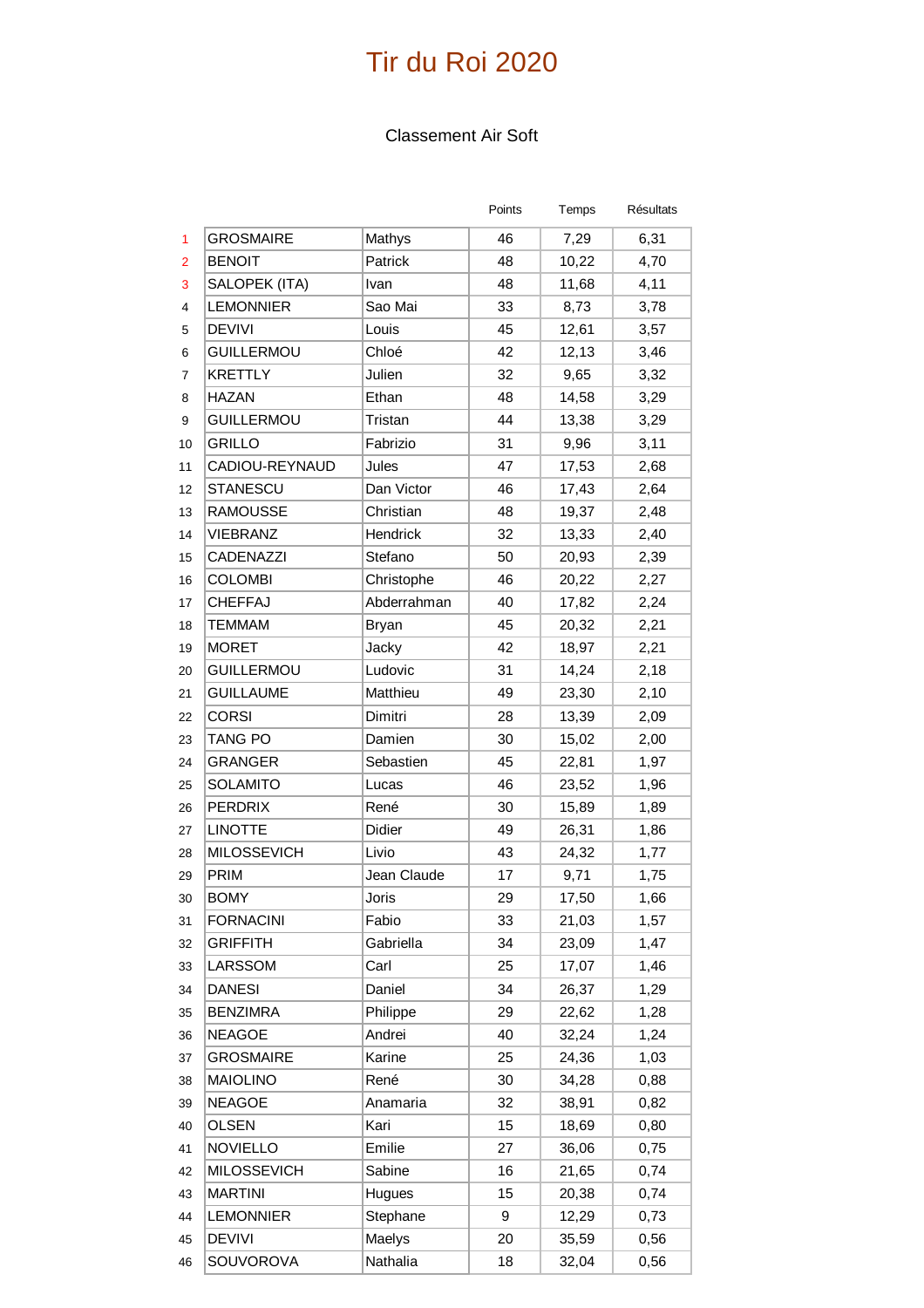### Classement Air Soft

|                |                    |              | Points | Temps | Résultats |
|----------------|--------------------|--------------|--------|-------|-----------|
| 1              | <b>GROSMAIRE</b>   | Mathys       | 46     | 7,29  | 6,31      |
| $\overline{2}$ | <b>BENOIT</b>      | Patrick      | 48     | 10,22 | 4,70      |
| 3              | SALOPEK (ITA)      | Ivan         | 48     | 11,68 | 4,11      |
| $\overline{4}$ | <b>LEMONNIER</b>   | Sao Mai      | 33     | 8,73  | 3,78      |
| 5              | <b>DEVIVI</b>      | Louis        | 45     | 12,61 | 3,57      |
| 6              | <b>GUILLERMOU</b>  | Chloé        | 42     | 12,13 | 3,46      |
| 7              | <b>KRETTLY</b>     | Julien       | 32     | 9,65  | 3,32      |
| 8              | <b>HAZAN</b>       | Ethan        | 48     | 14,58 | 3,29      |
| 9              | <b>GUILLERMOU</b>  | Tristan      | 44     | 13,38 | 3,29      |
| 10             | GRILLO             | Fabrizio     | 31     | 9,96  | 3,11      |
| 11             | CADIOU-REYNAUD     | Jules        | 47     | 17,53 | 2,68      |
| 12             | <b>STANESCU</b>    | Dan Victor   | 46     | 17,43 | 2,64      |
| 13             | <b>RAMOUSSE</b>    | Christian    | 48     | 19,37 | 2,48      |
| 14             | <b>VIEBRANZ</b>    | Hendrick     | 32     | 13,33 | 2,40      |
| 15             | CADENAZZI          | Stefano      | 50     | 20,93 | 2,39      |
| 16             | <b>COLOMBI</b>     | Christophe   | 46     | 20,22 | 2,27      |
| 17             | <b>CHEFFAJ</b>     | Abderrahman  | 40     | 17,82 | 2,24      |
| 18             | <b>TEMMAM</b>      | <b>Bryan</b> | 45     | 20,32 | 2,21      |
| 19             | <b>MORET</b>       | Jacky        | 42     | 18,97 | 2,21      |
| 20             | <b>GUILLERMOU</b>  | Ludovic      | 31     | 14,24 | 2,18      |
| 21             | <b>GUILLAUME</b>   | Matthieu     | 49     | 23,30 | 2,10      |
| 22             | <b>CORSI</b>       | Dimitri      | 28     | 13,39 | 2,09      |
| 23             | <b>TANG PO</b>     | Damien       | 30     | 15,02 | 2,00      |
| 24             | <b>GRANGER</b>     | Sebastien    | 45     | 22,81 | 1,97      |
| 25             | <b>SOLAMITO</b>    | Lucas        | 46     | 23,52 | 1,96      |
| 26             | <b>PERDRIX</b>     | René         | 30     | 15,89 | 1,89      |
| 27             | <b>LINOTTE</b>     | Didier       | 49     | 26,31 | 1,86      |
| 28             | <b>MILOSSEVICH</b> | Livio        | 43     | 24,32 | 1,77      |
| 29             | PRIM               | Jean Claude  | 17     | 9,71  | 1,75      |
| 30             | <b>BOMY</b>        | Joris        | 29     | 17,50 | 1,66      |
| 31             | <b>FORNACINI</b>   | Fabio        | 33     | 21,03 | 1,57      |
| 32             | <b>GRIFFITH</b>    | Gabriella    | 34     | 23,09 | 1,47      |
| 33             | LARSSOM            | Carl         | 25     | 17,07 | 1,46      |
| 34             | <b>DANESI</b>      | Daniel       | 34     | 26,37 | 1,29      |
| 35             | <b>BENZIMRA</b>    | Philippe     | 29     | 22,62 | 1,28      |
| 36             | <b>NEAGOE</b>      | Andrei       | 40     | 32,24 | 1,24      |
| 37             | <b>GROSMAIRE</b>   | Karine       | 25     | 24,36 | 1,03      |
| 38             | <b>MAIOLINO</b>    | René         | 30     | 34,28 | 0,88      |
| 39             | <b>NEAGOE</b>      | Anamaria     | 32     | 38,91 | 0,82      |
| 40             | <b>OLSEN</b>       | Kari         | 15     | 18,69 | 0,80      |
| 41             | <b>NOVIELLO</b>    | Emilie       | 27     | 36,06 | 0,75      |
| 42             | <b>MILOSSEVICH</b> | Sabine       | 16     | 21,65 | 0,74      |
| 43             | <b>MARTINI</b>     | Hugues       | 15     | 20,38 | 0,74      |
| 44             | <b>LEMONNIER</b>   | Stephane     | 9      | 12,29 | 0,73      |
| 45             | <b>DEVIVI</b>      | Maelys       | 20     | 35,59 | 0,56      |
| 46             | SOUVOROVA          | Nathalia     | 18     | 32,04 | 0,56      |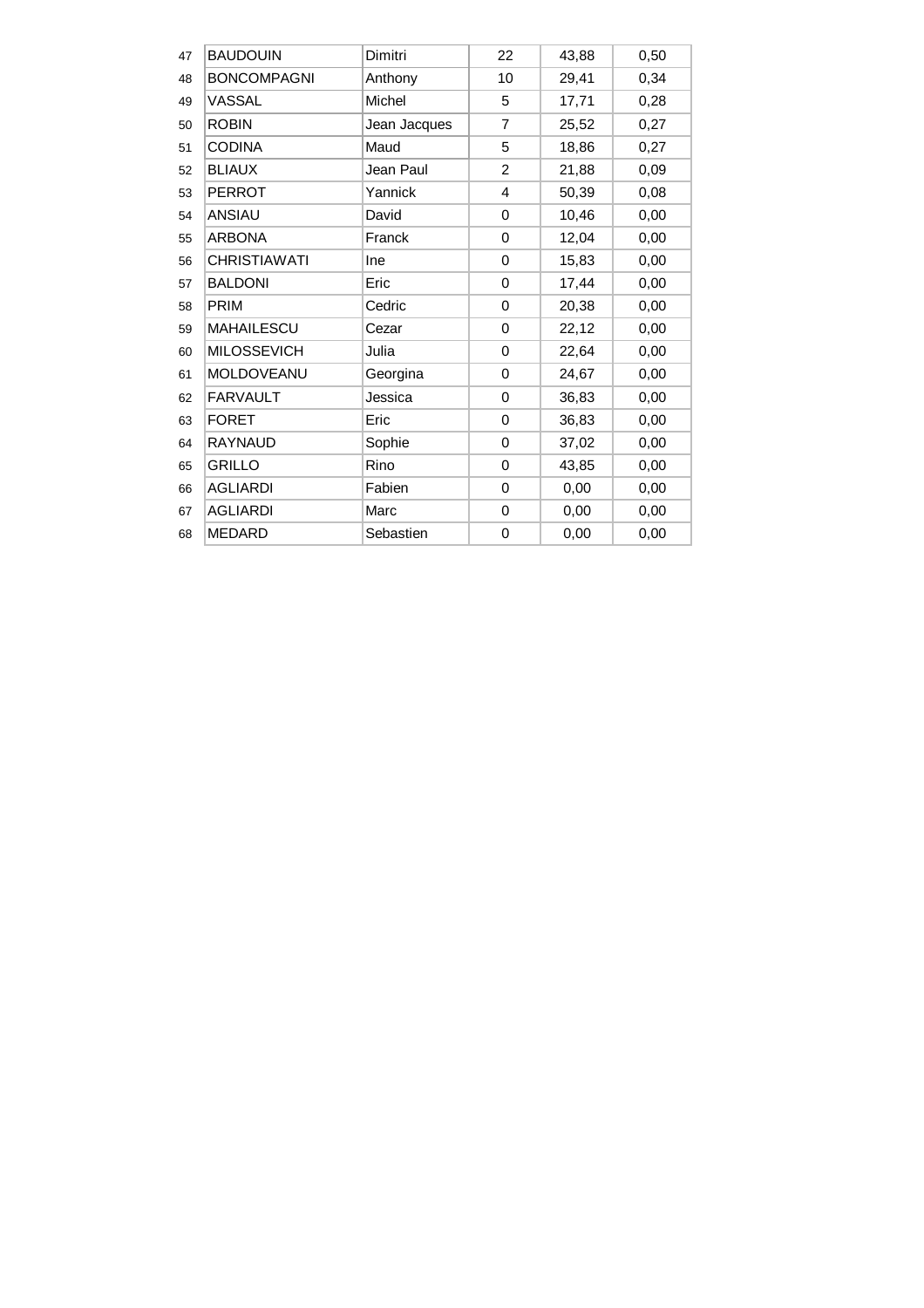| 47 | <b>BAUDOUIN</b>     | Dimitri      | 22             | 43,88 | 0,50 |
|----|---------------------|--------------|----------------|-------|------|
| 48 | <b>BONCOMPAGNI</b>  | Anthony      | 10             | 29,41 | 0,34 |
| 49 | VASSAL              | Michel       | 5              | 17,71 | 0,28 |
| 50 | <b>ROBIN</b>        | Jean Jacques | 7              | 25,52 | 0,27 |
| 51 | <b>CODINA</b>       | Maud         | 5              | 18,86 | 0,27 |
| 52 | <b>BLIAUX</b>       | Jean Paul    | $\overline{2}$ | 21,88 | 0,09 |
| 53 | <b>PERROT</b>       | Yannick      | 4              | 50,39 | 0,08 |
| 54 | <b>ANSIAU</b>       | David        | 0              | 10,46 | 0,00 |
| 55 | <b>ARBONA</b>       | Franck       | 0              | 12,04 | 0,00 |
| 56 | <b>CHRISTIAWATI</b> | Ine          | 0              | 15,83 | 0,00 |
| 57 | <b>BALDONI</b>      | Eric         | 0              | 17,44 | 0,00 |
| 58 | <b>PRIM</b>         | Cedric       | 0              | 20,38 | 0,00 |
| 59 | <b>MAHAILESCU</b>   | Cezar        | 0              | 22,12 | 0,00 |
| 60 | <b>MILOSSEVICH</b>  | Julia        | 0              | 22,64 | 0,00 |
| 61 | MOLDOVEANU          | Georgina     | 0              | 24,67 | 0,00 |
| 62 | <b>FARVAULT</b>     | Jessica      | 0              | 36,83 | 0,00 |
| 63 | <b>FORET</b>        | Eric         | 0              | 36,83 | 0,00 |
| 64 | <b>RAYNAUD</b>      | Sophie       | 0              | 37,02 | 0,00 |
| 65 | <b>GRILLO</b>       | Rino         | 0              | 43,85 | 0,00 |
| 66 | <b>AGLIARDI</b>     | Fabien       | 0              | 0,00  | 0,00 |
| 67 | <b>AGLIARDI</b>     | Marc         | 0              | 0,00  | 0,00 |
| 68 | <b>MEDARD</b>       | Sebastien    | 0              | 0,00  | 0,00 |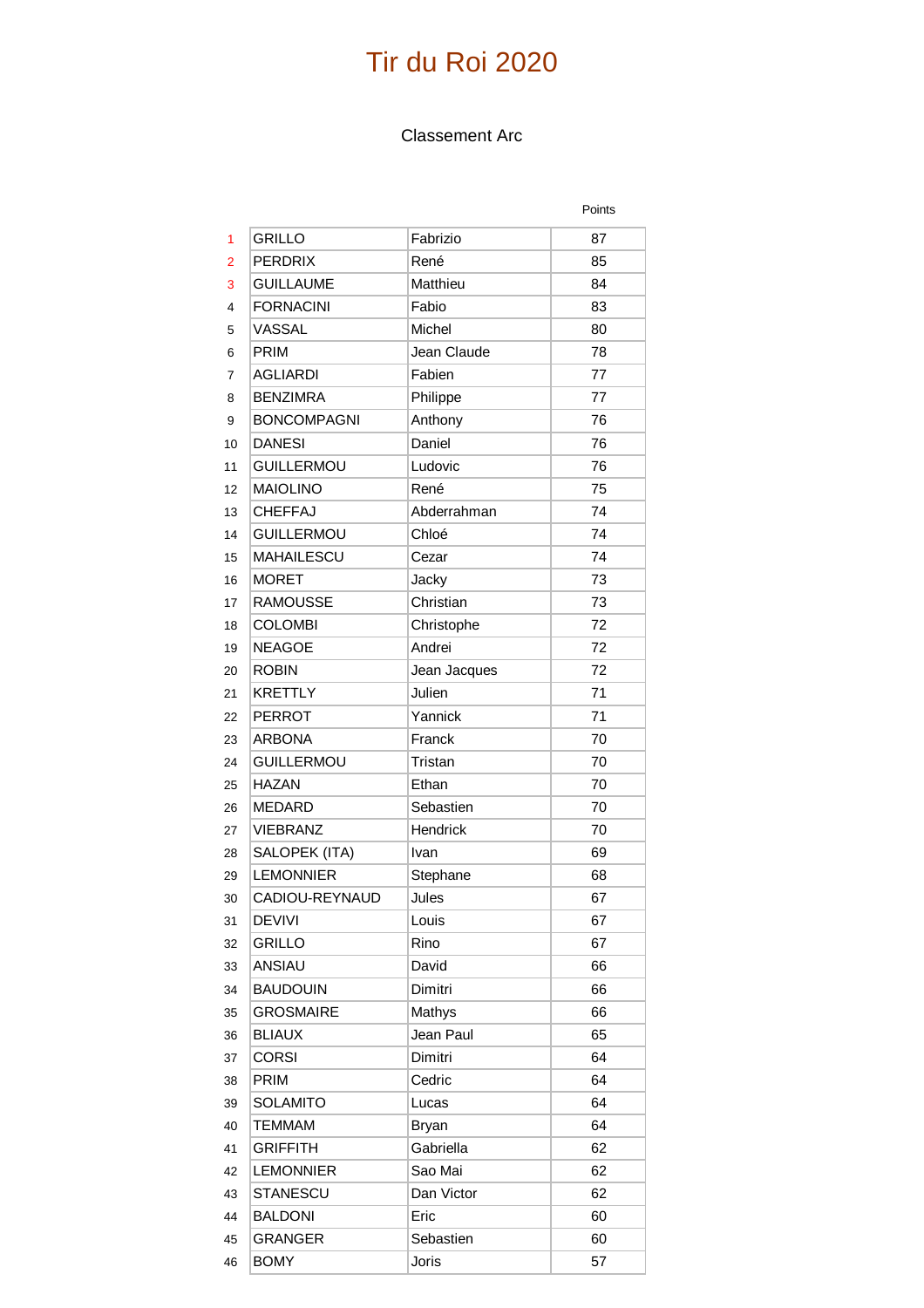#### Classement Arc

|    |                    |               | Points |
|----|--------------------|---------------|--------|
| 1  | <b>GRILLO</b>      | Fabrizio      | 87     |
| 2  | <b>PERDRIX</b>     | René          | 85     |
| 3  | <b>GUILLAUME</b>   | Matthieu      | 84     |
| 4  | <b>FORNACINI</b>   | Fabio         | 83     |
| 5  | VASSAL             | <b>Michel</b> | 80     |
| 6  | <b>PRIM</b>        | Jean Claude   | 78     |
| 7  | <b>AGLIARDI</b>    | Fabien        | 77     |
| 8  | <b>BENZIMRA</b>    | Philippe      | 77     |
| 9  | <b>BONCOMPAGNI</b> | Anthony       | 76     |
| 10 | <b>DANESI</b>      | Daniel        | 76     |
| 11 | <b>GUILLERMOU</b>  | Ludovic       | 76     |
| 12 | <b>MAIOLINO</b>    | René          | 75     |
| 13 | <b>CHEFFAJ</b>     | Abderrahman   | 74     |
| 14 | <b>GUILLERMOU</b>  | Chloé         | 74     |
| 15 | <b>MAHAILESCU</b>  | Cezar         | 74     |
| 16 | <b>MORET</b>       | Jacky         | 73     |
| 17 | <b>RAMOUSSE</b>    | Christian     | 73     |
| 18 | <b>COLOMBI</b>     | Christophe    | 72     |
| 19 | <b>NEAGOE</b>      | Andrei        | 72     |
| 20 | <b>ROBIN</b>       | Jean Jacques  | 72     |
| 21 | <b>KRETTLY</b>     | Julien        | 71     |
| 22 | <b>PERROT</b>      | Yannick       | 71     |
| 23 | <b>ARBONA</b>      | Franck        | 70     |
| 24 | <b>GUILLERMOU</b>  | Tristan       | 70     |
| 25 | <b>HAZAN</b>       | Ethan         | 70     |
| 26 | <b>MEDARD</b>      | Sebastien     | 70     |
| 27 | <b>VIEBRANZ</b>    | Hendrick      | 70     |
| 28 | SALOPEK (ITA)      | Ivan          | 69     |
| 29 | <b>LEMONNIER</b>   | Stephane      | 68     |
| 30 | CADIOU-REYNAUD     | Jules         | 67     |
| 31 | <b>DEVIVI</b>      | Louis         | 67     |
| 32 | <b>GRILLO</b>      | Rino          | 67     |
| 33 | ANSIAU             | David         | 66     |
| 34 | <b>BAUDOUIN</b>    | Dimitri       | 66     |
| 35 | <b>GROSMAIRE</b>   | Mathys        | 66     |
| 36 | <b>BLIAUX</b>      | Jean Paul     | 65     |
| 37 | <b>CORSI</b>       | Dimitri       | 64     |
| 38 | PRIM               | Cedric        | 64     |
| 39 | <b>SOLAMITO</b>    | Lucas         | 64     |
| 40 | <b>TEMMAM</b>      | <b>Bryan</b>  | 64     |
| 41 | <b>GRIFFITH</b>    | Gabriella     | 62     |
| 42 | <b>LEMONNIER</b>   | Sao Mai       | 62     |
| 43 | STANESCU           | Dan Victor    | 62     |
| 44 | <b>BALDONI</b>     | Eric          | 60     |
| 45 | <b>GRANGER</b>     | Sebastien     | 60     |
| 46 | <b>BOMY</b>        | Joris         | 57     |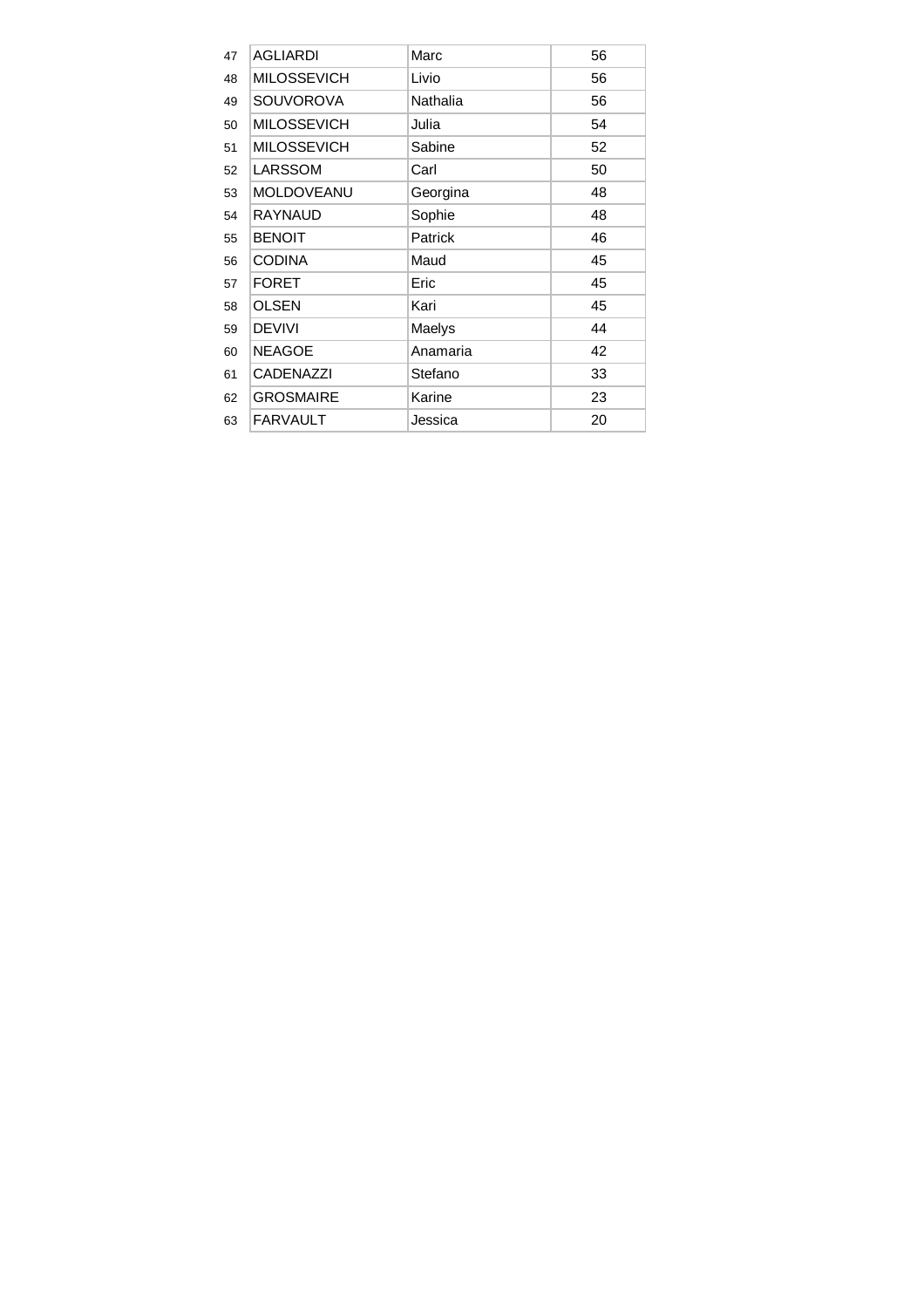| 47 | <b>AGLIARDI</b>    | Marc     | 56 |
|----|--------------------|----------|----|
| 48 | <b>MILOSSEVICH</b> | Livio    | 56 |
| 49 | <b>SOUVOROVA</b>   | Nathalia | 56 |
| 50 | <b>MILOSSEVICH</b> | Julia    | 54 |
| 51 | <b>MILOSSEVICH</b> | Sabine   | 52 |
| 52 | LARSSOM            | Carl     | 50 |
| 53 | MOLDOVEANU         | Georgina | 48 |
| 54 | <b>RAYNAUD</b>     | Sophie   | 48 |
| 55 | <b>BENOIT</b>      | Patrick  | 46 |
| 56 | <b>CODINA</b>      | Maud     | 45 |
| 57 | <b>FORET</b>       | Eric     | 45 |
| 58 | <b>OLSEN</b>       | Kari     | 45 |
| 59 | <b>DEVIVI</b>      | Maelys   | 44 |
| 60 | <b>NEAGOE</b>      | Anamaria | 42 |
| 61 | <b>CADENAZZI</b>   | Stefano  | 33 |
| 62 | <b>GROSMAIRE</b>   | Karine   | 23 |
| 63 | <b>FARVAULT</b>    | Jessica  | 20 |
|    |                    |          |    |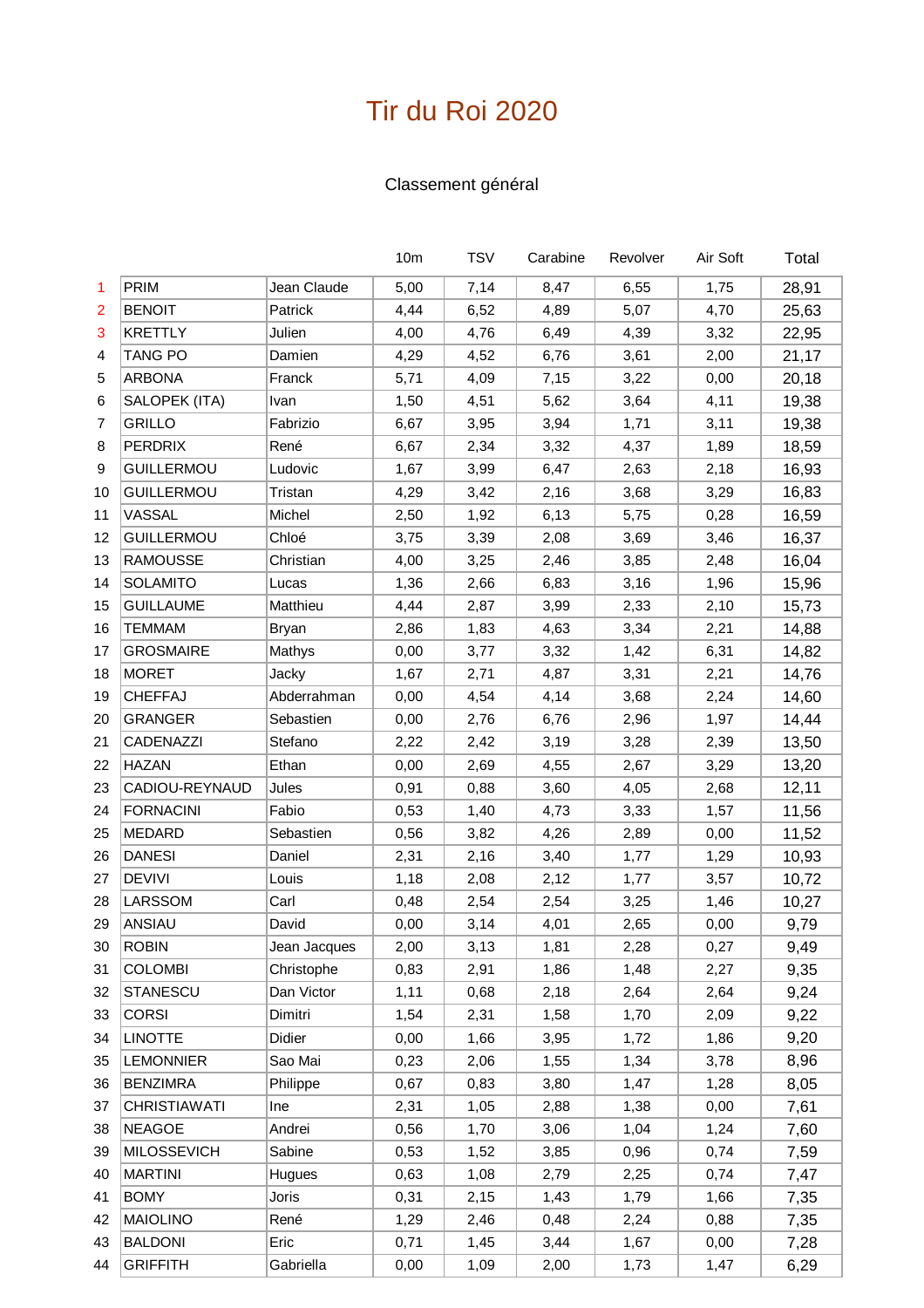### Classement général

|    |                     |              | 10 <sub>m</sub> | <b>TSV</b> | Carabine | Revolver | Air Soft | Total |
|----|---------------------|--------------|-----------------|------------|----------|----------|----------|-------|
| 1. | PRIM                | Jean Claude  | 5,00            | 7,14       | 8,47     | 6,55     | 1,75     | 28,91 |
| 2  | <b>BENOIT</b>       | Patrick      | 4,44            | 6,52       | 4,89     | 5,07     | 4,70     | 25,63 |
| 3  | <b>KRETTLY</b>      | Julien       | 4,00            | 4,76       | 6,49     | 4,39     | 3,32     | 22,95 |
| 4  | TANG PO             | Damien       | 4,29            | 4,52       | 6,76     | 3,61     | 2,00     | 21,17 |
| 5  | <b>ARBONA</b>       | Franck       | 5,71            | 4,09       | 7,15     | 3,22     | 0,00     | 20,18 |
| 6  | SALOPEK (ITA)       | Ivan         | 1,50            | 4,51       | 5,62     | 3,64     | 4,11     | 19,38 |
| 7  | GRILLO              | Fabrizio     | 6,67            | 3,95       | 3,94     | 1,71     | 3,11     | 19,38 |
| 8  | <b>PERDRIX</b>      | René         | 6,67            | 2,34       | 3,32     | 4,37     | 1,89     | 18,59 |
| 9  | <b>GUILLERMOU</b>   | Ludovic      | 1,67            | 3,99       | 6,47     | 2,63     | 2,18     | 16,93 |
| 10 | <b>GUILLERMOU</b>   | Tristan      | 4,29            | 3,42       | 2,16     | 3,68     | 3,29     | 16,83 |
| 11 | VASSAL              | Michel       | 2,50            | 1,92       | 6,13     | 5,75     | 0,28     | 16,59 |
| 12 | <b>GUILLERMOU</b>   | Chloé        | 3,75            | 3,39       | 2,08     | 3,69     | 3,46     | 16,37 |
| 13 | <b>RAMOUSSE</b>     | Christian    | 4,00            | 3,25       | 2,46     | 3,85     | 2,48     | 16,04 |
| 14 | <b>SOLAMITO</b>     | Lucas        | 1,36            | 2,66       | 6,83     | 3,16     | 1,96     | 15,96 |
| 15 | <b>GUILLAUME</b>    | Matthieu     | 4,44            | 2,87       | 3,99     | 2,33     | 2,10     | 15,73 |
| 16 | <b>TEMMAM</b>       | <b>Bryan</b> | 2,86            | 1,83       | 4,63     | 3,34     | 2,21     | 14,88 |
| 17 | <b>GROSMAIRE</b>    | Mathys       | 0,00            | 3,77       | 3,32     | 1,42     | 6,31     | 14,82 |
| 18 | <b>MORET</b>        | Jacky        | 1,67            | 2,71       | 4,87     | 3,31     | 2,21     | 14,76 |
| 19 | CHEFFAJ             | Abderrahman  | 0,00            | 4,54       | 4,14     | 3,68     | 2,24     | 14,60 |
| 20 | <b>GRANGER</b>      | Sebastien    | 0,00            | 2,76       | 6,76     | 2,96     | 1,97     | 14,44 |
| 21 | <b>CADENAZZI</b>    | Stefano      | 2,22            | 2,42       | 3,19     | 3,28     | 2,39     | 13,50 |
| 22 | <b>HAZAN</b>        | Ethan        | 0,00            | 2,69       | 4,55     | 2,67     | 3,29     | 13,20 |
| 23 | CADIOU-REYNAUD      | Jules        | 0,91            | 0,88       | 3,60     | 4,05     | 2,68     | 12,11 |
| 24 | <b>FORNACINI</b>    | Fabio        | 0,53            | 1,40       | 4,73     | 3,33     | 1,57     | 11,56 |
| 25 | <b>MEDARD</b>       | Sebastien    | 0,56            | 3,82       | 4,26     | 2,89     | 0,00     | 11,52 |
| 26 | <b>DANESI</b>       | Daniel       | 2,31            | 2,16       | 3,40     | 1,77     | 1,29     | 10,93 |
| 27 | <b>DEVIVI</b>       | Louis        | 1,18            | 2,08       | 2,12     | 1,77     | 3,57     | 10,72 |
| 28 | LARSSOM             | Carl         | 0,48            | 2,54       | 2,54     | 3,25     | 1,46     | 10,27 |
| 29 | ANSIAU              | David        | 0,00            | 3,14       | 4,01     | 2,65     | 0,00     | 9,79  |
| 30 | <b>ROBIN</b>        | Jean Jacques | 2,00            | 3,13       | 1,81     | 2,28     | 0,27     | 9,49  |
| 31 | <b>COLOMBI</b>      | Christophe   | 0,83            | 2,91       | 1,86     | 1,48     | 2,27     | 9,35  |
| 32 | <b>STANESCU</b>     | Dan Victor   | 1,11            | 0,68       | 2,18     | 2,64     | 2,64     | 9,24  |
| 33 | <b>CORSI</b>        | Dimitri      | 1,54            | 2,31       | 1,58     | 1,70     | 2,09     | 9,22  |
| 34 | <b>LINOTTE</b>      | Didier       | 0,00            | 1,66       | 3,95     | 1,72     | 1,86     | 9,20  |
| 35 | <b>LEMONNIER</b>    | Sao Mai      | 0,23            | 2,06       | 1,55     | 1,34     | 3,78     | 8,96  |
| 36 | <b>BENZIMRA</b>     | Philippe     | 0,67            | 0,83       | 3,80     | 1,47     | 1,28     | 8,05  |
| 37 | <b>CHRISTIAWATI</b> | Ine          | 2,31            | 1,05       | 2,88     | 1,38     | 0,00     | 7,61  |
| 38 | <b>NEAGOE</b>       | Andrei       | 0,56            | 1,70       | 3,06     | 1,04     | 1,24     | 7,60  |
| 39 | <b>MILOSSEVICH</b>  | Sabine       | 0,53            | 1,52       | 3,85     | 0,96     | 0,74     | 7,59  |
| 40 | <b>MARTINI</b>      | Hugues       | 0,63            | 1,08       | 2,79     | 2,25     | 0,74     | 7,47  |
| 41 | <b>BOMY</b>         | Joris        | 0,31            | 2,15       | 1,43     | 1,79     | 1,66     | 7,35  |
| 42 | <b>MAIOLINO</b>     | René         | 1,29            | 2,46       | 0,48     | 2,24     | 0,88     | 7,35  |
| 43 | <b>BALDONI</b>      | Eric         | 0,71            | 1,45       | 3,44     | 1,67     | 0,00     | 7,28  |
| 44 | <b>GRIFFITH</b>     | Gabriella    | 0,00            | 1,09       | 2,00     | 1,73     | 1,47     | 6,29  |